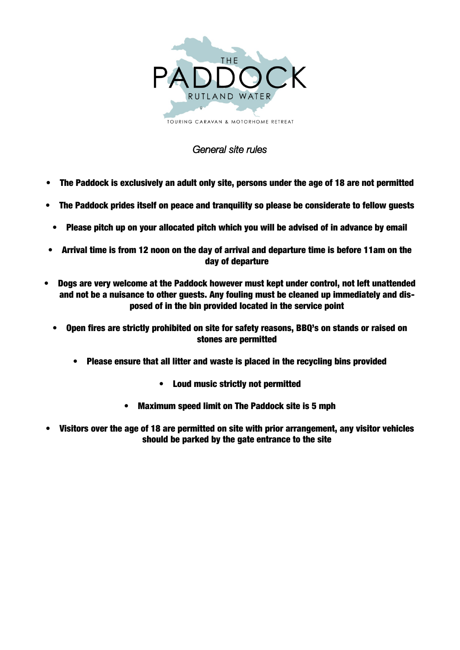

## General site rules

- The Paddock is exclusively an adult only site, persons under the age of 18 are not permitted
- The Paddock prides itself on peace and tranquility so please be considerate to fellow guests
- Please pitch up on your allocated pitch which you will be advised of in advance by email
- Arrival time is from 12 noon on the day of arrival and departure time is before 11am on the day of departure
- Dogs are very welcome at the Paddock however must kept under control, not left unattended and not be a nuisance to other guests. Any fouling must be cleaned up immediately and disposed of in the bin provided located in the service point
	- Open fires are strictly prohibited on site for safety reasons, BBQ's on stands or raised on stones are permitted
		- Please ensure that all litter and waste is placed in the recycling bins provided
			- Loud music strictly not permitted
			- Maximum speed limit on The Paddock site is 5 mph
- Visitors over the age of 18 are permitted on site with prior arrangement, any visitor vehicles should be parked by the gate entrance to the site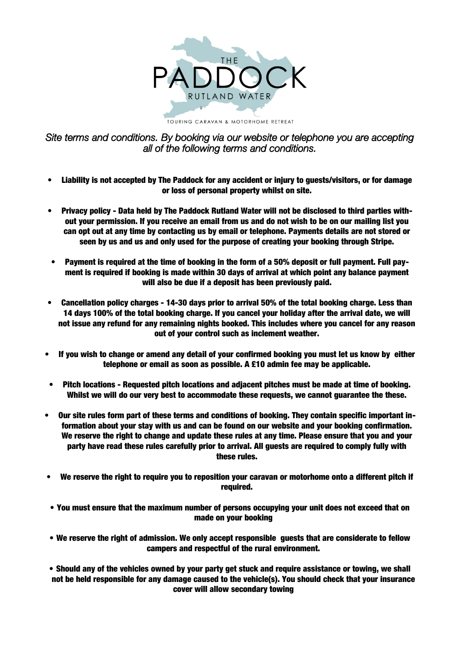

TOURING CARAVAN & MOTORHOME RETREAT

Site terms and conditions. By booking via our website or telephone you are accepting all of the following terms and conditions.

- Liability is not accepted by The Paddock for any accident or injury to guests/visitors, or for damage or loss of personal property whilst on site.
- Privacy policy Data held by The Paddock Rutland Water will not be disclosed to third parties without your permission. If you receive an email from us and do not wish to be on our mailing list you can opt out at any time by contacting us by email or telephone. Payments details are not stored or seen by us and us and only used for the purpose of creating your booking through Stripe.
- Payment is required at the time of booking in the form of a 50% deposit or full payment. Full payment is required if booking is made within 30 days of arrival at which point any balance payment will also be due if a deposit has been previously paid.
- Cancellation policy charges 14-30 days prior to arrival 50% of the total booking charge. Less than 14 days 100% of the total booking charge. If you cancel your holiday after the arrival date, we will not issue any refund for any remaining nights booked. This includes where you cancel for any reason out of your control such as inclement weather.
- If you wish to change or amend any detail of your confirmed booking you must let us know by either telephone or email as soon as possible. A £10 admin fee may be applicable.
- Pitch locations Requested pitch locations and adjacent pitches must be made at time of booking. Whilst we will do our very best to accommodate these requests, we cannot guarantee the these.
- Our site rules form part of these terms and conditions of booking. They contain specific important information about your stay with us and can be found on our website and your booking confirmation. We reserve the right to change and update these rules at any time. Please ensure that you and your party have read these rules carefully prior to arrival. All guests are required to comply fully with these rules.
- We reserve the right to require you to reposition your caravan or motorhome onto a different pitch if required.
- You must ensure that the maximum number of persons occupying your unit does not exceed that on made on your booking
- We reserve the right of admission. We only accept responsible guests that are considerate to fellow campers and respectful of the rural environment.
- Should any of the vehicles owned by your party get stuck and require assistance or towing, we shall not be held responsible for any damage caused to the vehicle(s). You should check that your insurance cover will allow secondary towing